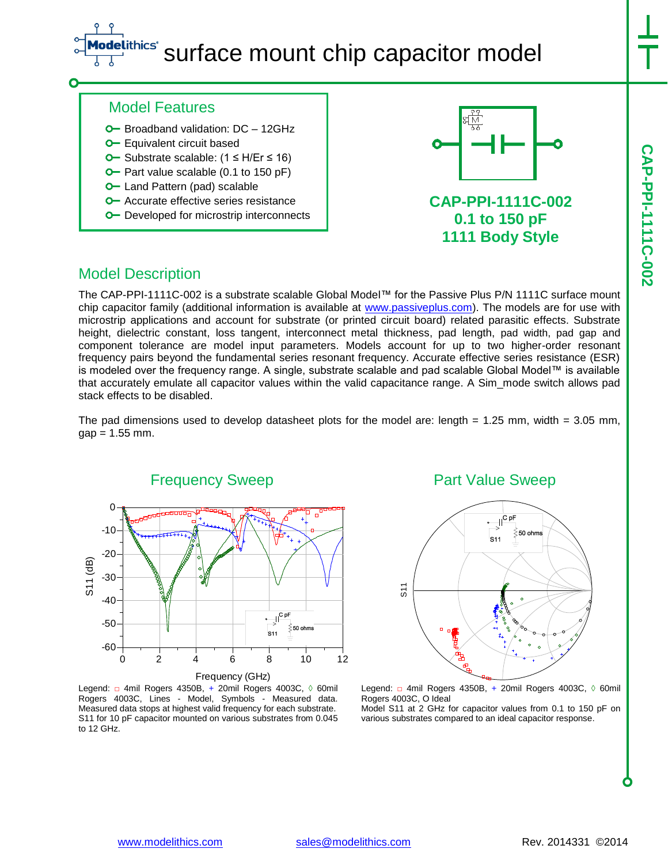### ithics® surface mount chip capacitor model

### Model Features

- **O** Broadband validation: DC 12GHz
- **O** Equivalent circuit based
- Substrate scalable: (1 ≤ H/Er ≤ 16)
- $\blacktriangleright$  Part value scalable (0.1 to 150 pF)
- **O** Land Pattern (pad) scalable
- **O** Accurate effective series resistance
- **O** Developed for microstrip interconnects



## **0.1 to 150 pF 1111 Body Style**

## Model Description

The CAP-PPI-1111C-002 is a substrate scalable Global Model™ for the Passive Plus P/N 1111C surface mount chip capacitor family (additional information is available at [www.passiveplus.com\)](http://www.passiveplus.com/). The models are for use with microstrip applications and account for substrate (or printed circuit board) related parasitic effects. Substrate height, dielectric constant, loss tangent, interconnect metal thickness, pad length, pad width, pad gap and component tolerance are model input parameters. Models account for up to two higher-order resonant frequency pairs beyond the fundamental series resonant frequency. Accurate effective series resistance (ESR) is modeled over the frequency range. A single, substrate scalable and pad scalable Global Model™ is available that accurately emulate all capacitor values within the valid capacitance range. A Sim\_mode switch allows pad stack effects to be disabled.

The pad dimensions used to develop datasheet plots for the model are: length  $= 1.25$  mm, width  $= 3.05$  mm,  $gap = 1.55$  mm.



Legend: □ 4mil Rogers 4350B, + 20mil Rogers 4003C, ◊ 60mil Rogers 4003C, Lines - Model, Symbols - Measured data. Measured data stops at highest valid frequency for each substrate. S11 for 10 pF capacitor mounted on various substrates from 0.045 to 12 GHz.

### Part Value Sweep



Legend: □ 4mil Rogers 4350B, + 20mil Rogers 4003C, 0 60mil Rogers 4003C, O Ideal Model S11 at 2 GHz for capacitor values from 0.1 to 150 pF on

various substrates compared to an ideal capacitor response.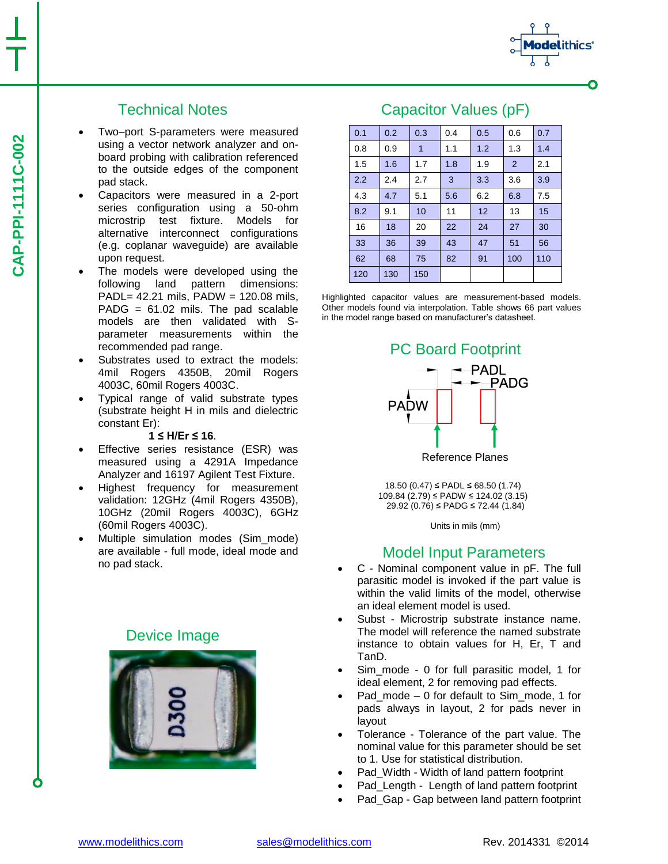## Technical Notes

- Two–port S-parameters were measured using a vector network analyzer and onboard probing with calibration referenced to the outside edges of the component pad stack.
- Capacitors were measured in a 2-port series configuration using a 50-ohm microstrip test fixture. Models for alternative interconnect configurations (e.g. coplanar waveguide) are available upon request.
- The models were developed using the following land pattern dimensions: PADL= 42.21 mils, PADW = 120.08 mils, PADG =  $61.02$  mils. The pad scalable models are then validated with Sparameter measurements within the recommended pad range.
- Substrates used to extract the models: 4mil Rogers 4350B, 20mil Rogers 4003C, 60mil Rogers 4003C.
- Typical range of valid substrate types (substrate height H in mils and dielectric constant Er):

#### **1 ≤ H/Er ≤ 16**.

- Effective series resistance (ESR) was measured using a 4291A Impedance Analyzer and 16197 Agilent Test Fixture.
- Highest frequency for measurement validation: 12GHz (4mil Rogers 4350B), 10GHz (20mil Rogers 4003C), 6GHz (60mil Rogers 4003C).
- Multiple simulation modes (Sim\_mode) are available - full mode, ideal mode and no pad stack.

## Device Image



## Capacitor Values (pF)

0.1 0.2 0.3 0.4 0.5 0.6 0.7 0.8 0.9 1 1.1 1.2 1.3 1.4 1.5 | 1.6 | 1.7 | 1.8 | 1.9 | 2 | 2.1 2.2 2.4 2.7 3 3.3 3.6 3.9 4.3 4.7 5.1 5.6 6.2 6.8 7.5 8.2 9.1 10 11 12 13 15 16 | 18 | 20 | 22 | 24 | 27 | 30 33 36 39 43 47 51 56 62 68 75 82 91 100 110 120 130 150

Highlighted capacitor values are measurement-based models. Other models found via interpolation. Table shows 66 part values in the model range based on manufacturer's datasheet.



18.50 (0.47) ≤ PADL ≤ 68.50 (1.74) 109.84 (2.79) ≤ PADW ≤ 124.02 (3.15) 29.92 (0.76) ≤ PADG ≤ 72.44 (1.84)

Units in mils (mm)

### Model Input Parameters

- C Nominal component value in pF. The full parasitic model is invoked if the part value is within the valid limits of the model, otherwise an ideal element model is used.
- Subst Microstrip substrate instance name. The model will reference the named substrate instance to obtain values for H, Er, T and TanD.
- Sim\_mode 0 for full parasitic model, 1 for ideal element, 2 for removing pad effects.
- Pad\_mode 0 for default to Sim\_mode, 1 for pads always in layout, 2 for pads never in layout
- Tolerance Tolerance of the part value. The nominal value for this parameter should be set to 1. Use for statistical distribution.
- Pad\_Width Width of land pattern footprint
- Pad Length Length of land pattern footprint
- Pad Gap Gap between land pattern footprint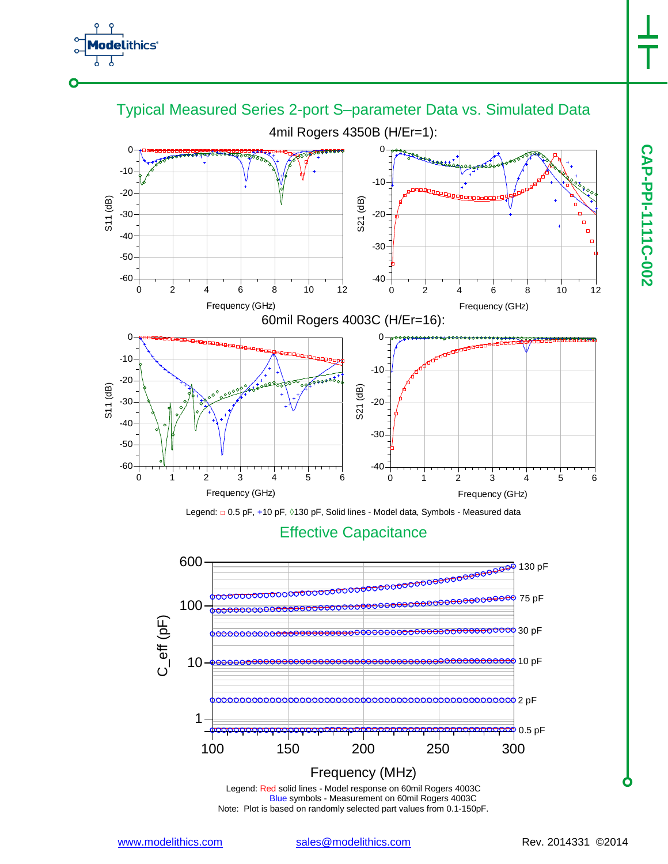





Legend: Red solid lines - Model response on 60mil Rogers 4003C Blue symbols - Measurement on 60mil Rogers 4003C Note: Plot is based on randomly selected part values from 0.1-150pF.

www.modelithics.com sales@modelithics.com Rev. 2014331 ©2014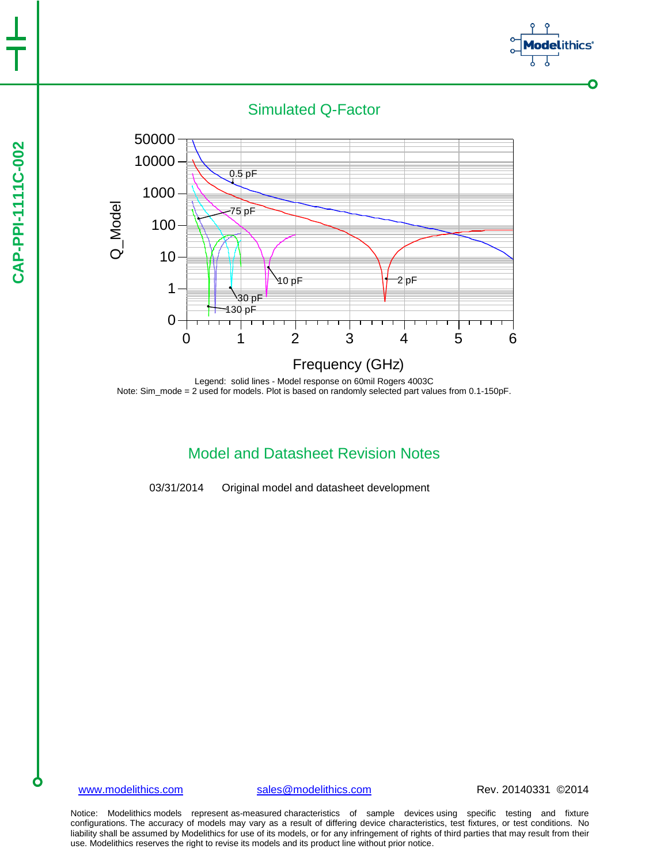



Legend: solid lines - Model response on 60mil Rogers 4003C Note: Sim\_mode = 2 used for models. Plot is based on randomly selected part values from 0.1-150pF.

## Model and Datasheet Revision Notes

03/31/2014 Original model and datasheet development

www.modelithics.com sales@modelithics.com Rev. 20140331 ©2014

thics°

 $\bullet$ 

Notice: Modelithics models represent as-measured characteristics of sample devices using specific testing and fixture configurations. The accuracy of models may vary as a result of differing device characteristics, test fixtures, or test conditions. No liability shall be assumed by Modelithics for use of its models, or for any infringement of rights of third parties that may result from their use. Modelithics reserves the right to revise its models and its product line without prior notice.